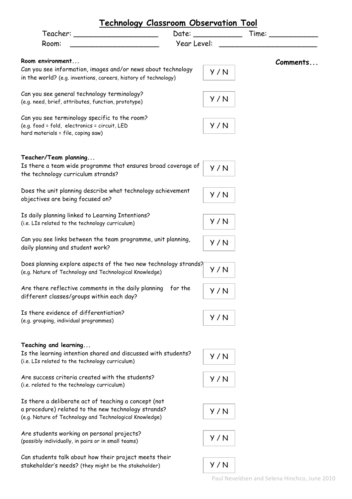| Technology Classroom Observation Tool                                                                            |                      |                                |
|------------------------------------------------------------------------------------------------------------------|----------------------|--------------------------------|
| Teacher: _____________________                                                                                   | Date: ______________ | Time: $\overline{\phantom{a}}$ |
| Room:                                                                                                            | Year Level:          |                                |
| Room environment                                                                                                 |                      |                                |
| Can you see information, images and/or news about technology                                                     |                      | <b>Comments</b>                |
| in the world? (e.g. inventions, careers, history of technology)                                                  | Y/N                  |                                |
|                                                                                                                  |                      |                                |
| Can you see general technology terminology?                                                                      | Y/N                  |                                |
| (e.g. need, brief, attributes, function, prototype)                                                              |                      |                                |
| Can you see terminology specific to the room?                                                                    |                      |                                |
| (e.g. food = fold, electronics = circuit, LED                                                                    | Y/N                  |                                |
| hard materials = file, coping saw)                                                                               |                      |                                |
|                                                                                                                  |                      |                                |
| Teacher/Team planning                                                                                            |                      |                                |
| Is there a team wide programme that ensures broad coverage of                                                    | Y/N                  |                                |
| the technology curriculum strands?                                                                               |                      |                                |
|                                                                                                                  |                      |                                |
| Does the unit planning describe what technology achievement                                                      | Y/N                  |                                |
| objectives are being focused on?                                                                                 |                      |                                |
| Is daily planning linked to Learning Intentions?                                                                 |                      |                                |
| (i.e. LIs related to the technology curriculum)                                                                  | Y/N                  |                                |
|                                                                                                                  |                      |                                |
| Can you see links between the team programme, unit planning,                                                     | Y/N                  |                                |
| daily planning and student work?                                                                                 |                      |                                |
| Does planning explore aspects of the two new technology strands?                                                 |                      |                                |
| (e.g. Nature of Technology and Technological Knowledge)                                                          | Y/N                  |                                |
|                                                                                                                  |                      |                                |
| Are there reflective comments in the daily planning<br>for the                                                   | Y/N                  |                                |
| different classes/groups within each day?                                                                        |                      |                                |
| Is there evidence of differentiation?                                                                            |                      |                                |
| (e.g. grouping, individual programmes)                                                                           | Y/N                  |                                |
|                                                                                                                  |                      |                                |
|                                                                                                                  |                      |                                |
| Teaching and learning                                                                                            |                      |                                |
| Is the learning intention shared and discussed with students?<br>(i.e. LIs related to the technology curriculum) | Y/N                  |                                |
|                                                                                                                  |                      |                                |
| Are success criteria created with the students?                                                                  | Y/N                  |                                |
| (i.e. related to the technology curriculum)                                                                      |                      |                                |
| Is there a deliberate act of teaching a concept (not                                                             |                      |                                |
| a procedure) related to the new technology strands?                                                              | Y/N                  |                                |
| (e.g. Nature of Technology and Technological Knowledge)                                                          |                      |                                |
|                                                                                                                  |                      |                                |
| Are students working on personal projects?                                                                       | Y/N                  |                                |
| (possibly individually, in pairs or in small teams)                                                              |                      |                                |
| Can students talk about how their project meets their                                                            |                      |                                |
| stakeholder's needs? (they might be the stakeholder)                                                             | Y/N                  |                                |
|                                                                                                                  |                      |                                |

Paul Neveldsen and Selena Hinchco, June 2010